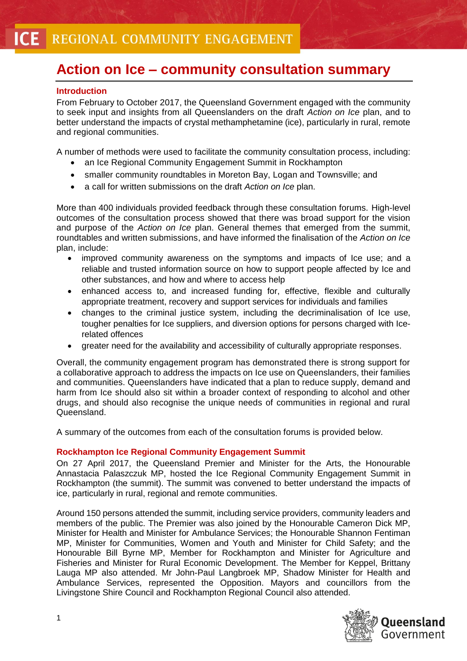# **Action on Ice – community consultation summary**

## **Introduction**

From February to October 2017, the Queensland Government engaged with the community to seek input and insights from all Queenslanders on the draft *Action on Ice* plan, and to better understand the impacts of crystal methamphetamine (ice), particularly in rural, remote and regional communities.

A number of methods were used to facilitate the community consultation process, including:

- an Ice Regional Community Engagement Summit in Rockhampton
- smaller community roundtables in Moreton Bay, Logan and Townsville; and
- a call for written submissions on the draft *Action on Ice* plan.

More than 400 individuals provided feedback through these consultation forums. High-level outcomes of the consultation process showed that there was broad support for the vision and purpose of the *Action on Ice* plan. General themes that emerged from the summit, roundtables and written submissions, and have informed the finalisation of the *Action on Ice* plan, include:

- improved community awareness on the symptoms and impacts of Ice use; and a reliable and trusted information source on how to support people affected by Ice and other substances, and how and where to access help
- enhanced access to, and increased funding for, effective, flexible and culturally appropriate treatment, recovery and support services for individuals and families
- changes to the criminal justice system, including the decriminalisation of Ice use, tougher penalties for Ice suppliers, and diversion options for persons charged with Icerelated offences
- greater need for the availability and accessibility of culturally appropriate responses.

Overall, the community engagement program has demonstrated there is strong support for a collaborative approach to address the impacts on Ice use on Queenslanders, their families and communities. Queenslanders have indicated that a plan to reduce supply, demand and harm from Ice should also sit within a broader context of responding to alcohol and other drugs, and should also recognise the unique needs of communities in regional and rural Queensland.

A summary of the outcomes from each of the consultation forums is provided below.

### **Rockhampton Ice Regional Community Engagement Summit**

On 27 April 2017, the Queensland Premier and Minister for the Arts, the Honourable Annastacia Palaszczuk MP, hosted the Ice Regional Community Engagement Summit in Rockhampton (the summit). The summit was convened to better understand the impacts of ice, particularly in rural, regional and remote communities.

Around 150 persons attended the summit, including service providers, community leaders and members of the public. The Premier was also joined by the Honourable Cameron Dick MP, Minister for Health and Minister for Ambulance Services; the Honourable Shannon Fentiman MP, Minister for Communities, Women and Youth and Minister for Child Safety; and the Honourable Bill Byrne MP, Member for Rockhampton and Minister for Agriculture and Fisheries and Minister for Rural Economic Development. The Member for Keppel, Brittany Lauga MP also attended. Mr John-Paul Langbroek MP, Shadow Minister for Health and Ambulance Services, represented the Opposition. Mayors and councillors from the Livingstone Shire Council and Rockhampton Regional Council also attended.

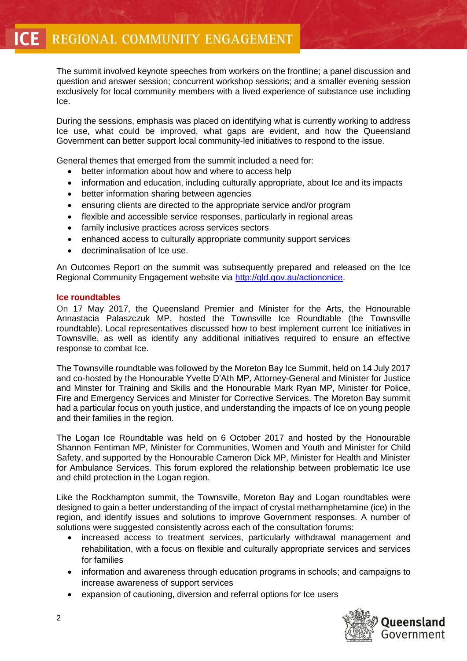The summit involved keynote speeches from workers on the frontline; a panel discussion and question and answer session; concurrent workshop sessions; and a smaller evening session exclusively for local community members with a lived experience of substance use including Ice.

During the sessions, emphasis was placed on identifying what is currently working to address Ice use, what could be improved, what gaps are evident, and how the Queensland Government can better support local community-led initiatives to respond to the issue.

General themes that emerged from the summit included a need for:

- better information about how and where to access help
- information and education, including culturally appropriate, about Ice and its impacts
- better information sharing between agencies
- ensuring clients are directed to the appropriate service and/or program
- flexible and accessible service responses, particularly in regional areas
- family inclusive practices across services sectors
- enhanced access to culturally appropriate community support services
- decriminalisation of Ice use.

An Outcomes Report on the summit was subsequently prepared and released on the Ice Regional Community Engagement website via [http://qld.gov.au/actiononice.](http://qld.gov.au/actiononice)

#### **Ice roundtables**

On 17 May 2017, the Queensland Premier and Minister for the Arts, the Honourable Annastacia Palaszczuk MP, hosted the Townsville Ice Roundtable (the Townsville roundtable). Local representatives discussed how to best implement current Ice initiatives in Townsville, as well as identify any additional initiatives required to ensure an effective response to combat Ice.

The Townsville roundtable was followed by the Moreton Bay Ice Summit, held on 14 July 2017 and co-hosted by the Honourable Yvette D'Ath MP, Attorney-General and Minister for Justice and Minster for Training and Skills and the Honourable Mark Ryan MP, Minister for Police, Fire and Emergency Services and Minister for Corrective Services. The Moreton Bay summit had a particular focus on youth justice, and understanding the impacts of Ice on young people and their families in the region.

The Logan Ice Roundtable was held on 6 October 2017 and hosted by the Honourable Shannon Fentiman MP, Minister for Communities, Women and Youth and Minister for Child Safety, and supported by the Honourable Cameron Dick MP, Minister for Health and Minister for Ambulance Services. This forum explored the relationship between problematic Ice use and child protection in the Logan region.

Like the Rockhampton summit, the Townsville, Moreton Bay and Logan roundtables were designed to gain a better understanding of the impact of crystal methamphetamine (ice) in the region, and identify issues and solutions to improve Government responses. A number of solutions were suggested consistently across each of the consultation forums:

- increased access to treatment services, particularly withdrawal management and rehabilitation, with a focus on flexible and culturally appropriate services and services for families
- information and awareness through education programs in schools; and campaigns to increase awareness of support services
- expansion of cautioning, diversion and referral options for Ice users